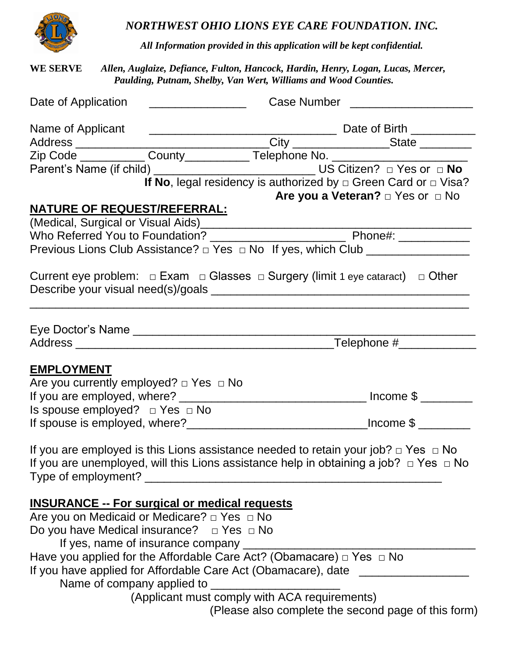

*NORTHWEST OHIO LIONS EYE CARE FOUNDATION. INC.*

*All Information provided in this application will be kept confidential.*

**WE SERVE** *Allen, Auglaize, Defiance, Fulton, Hancock, Hardin, Henry, Logan, Lucas, Mercer, Paulding, Putnam, Shelby, Van Wert, Williams and Wood Counties.*

| Date of Application                                                                                                                               |                                                                                                                                                                                                 |  |  |
|---------------------------------------------------------------------------------------------------------------------------------------------------|-------------------------------------------------------------------------------------------------------------------------------------------------------------------------------------------------|--|--|
|                                                                                                                                                   |                                                                                                                                                                                                 |  |  |
|                                                                                                                                                   |                                                                                                                                                                                                 |  |  |
|                                                                                                                                                   |                                                                                                                                                                                                 |  |  |
|                                                                                                                                                   |                                                                                                                                                                                                 |  |  |
| <b>NATURE OF REQUEST/REFERRAL:</b>                                                                                                                | If No, legal residency is authorized by $\Box$ Green Card or $\Box$ Visa?<br>Are you a Veteran? $\Box$ Yes or $\Box$ No                                                                         |  |  |
|                                                                                                                                                   |                                                                                                                                                                                                 |  |  |
|                                                                                                                                                   |                                                                                                                                                                                                 |  |  |
| Previous Lions Club Assistance? □ Yes □ No If yes, which Club _________________                                                                   |                                                                                                                                                                                                 |  |  |
|                                                                                                                                                   | Current eye problem: $\Box$ Exam $\Box$ Glasses $\Box$ Surgery (limit 1 eye cataract) $\Box$ Other                                                                                              |  |  |
| Eye Doctor's Name                                                                                                                                 |                                                                                                                                                                                                 |  |  |
|                                                                                                                                                   |                                                                                                                                                                                                 |  |  |
| <b>EMPLOYMENT</b><br>Are you currently employed? $\Box$ Yes $\Box$ No                                                                             |                                                                                                                                                                                                 |  |  |
| Is spouse employed? $\Box$ Yes $\Box$ No                                                                                                          |                                                                                                                                                                                                 |  |  |
|                                                                                                                                                   |                                                                                                                                                                                                 |  |  |
| Type of employment?                                                                                                                               | If you are employed is this Lions assistance needed to retain your job? $\Box$ Yes $\Box$ No<br>If you are unemployed, will this Lions assistance help in obtaining a job? $\Box$ Yes $\Box$ No |  |  |
| <b>INSURANCE -- For surgical or medical requests</b>                                                                                              |                                                                                                                                                                                                 |  |  |
| Are you on Medicaid or Medicare? $\Box$ Yes $\Box$ No<br>Do you have Medical insurance? $\Box$ Yes $\Box$ No<br>If yes, name of insurance company |                                                                                                                                                                                                 |  |  |
| Name of company applied to                                                                                                                        | Have you applied for the Affordable Care Act? (Obamacare) $\Box$ Yes $\Box$ No<br>If you have applied for Affordable Care Act (Obamacare), date _____                                           |  |  |
|                                                                                                                                                   | (Applicant must comply with ACA requirements)                                                                                                                                                   |  |  |
|                                                                                                                                                   | (Please also complete the second page of this form)                                                                                                                                             |  |  |